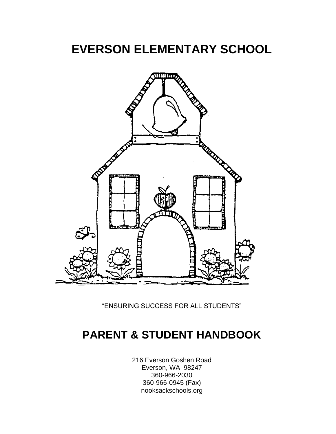# **EVERSON ELEMENTARY SCHOOL**



"ENSURING SUCCESS FOR ALL STUDENTS"

# **PARENT & STUDENT HANDBOOK**

216 Everson Goshen Road Everson, WA 98247 360-966-2030 360-966-0945 (Fax) nooksackschools.org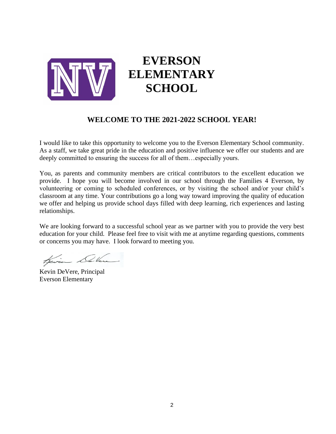

# **EVERSON ELEMENTARY SCHOOL**

### **WELCOME TO THE 2021-2022 SCHOOL YEAR!**

I would like to take this opportunity to welcome you to the Everson Elementary School community. As a staff, we take great pride in the education and positive influence we offer our students and are deeply committed to ensuring the success for all of them…especially yours.

You, as parents and community members are critical contributors to the excellent education we provide. I hope you will become involved in our school through the Families 4 Everson, by volunteering or coming to scheduled conferences, or by visiting the school and/or your child's classroom at any time. Your contributions go a long way toward improving the quality of education we offer and helping us provide school days filled with deep learning, rich experiences and lasting relationships.

We are looking forward to a successful school year as we partner with you to provide the very best education for your child. Please feel free to visit with me at anytime regarding questions, comments or concerns you may have. I look forward to meeting you.

Kevin Delana

Kevin DeVere, Principal Everson Elementary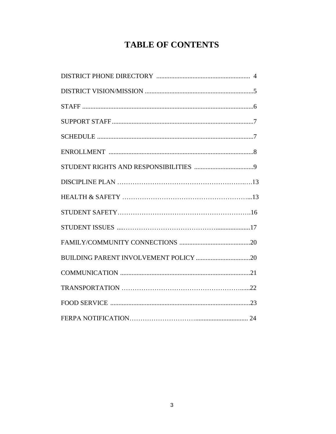# **TABLE OF CONTENTS**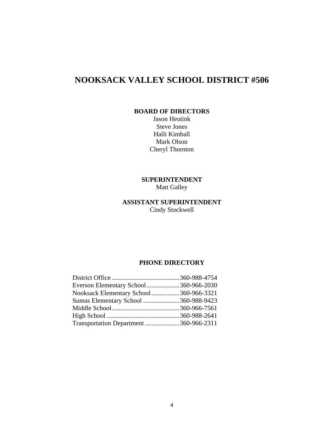# **NOOKSACK VALLEY SCHOOL DISTRICT #506**

#### **BOARD OF DIRECTORS**

Jason Heutink Steve Jones Halli Kimball Mark Olson Cheryl Thornton

**SUPERINTENDENT** Matt Galley

### **ASSISTANT SUPERINTENDENT** Cindy Stockwell

#### **PHONE DIRECTORY**

| Everson Elementary School360-966-2030  |  |
|----------------------------------------|--|
| Nooksack Elementary School360-966-3321 |  |
| Sumas Elementary School 360-988-9423   |  |
|                                        |  |
|                                        |  |
| Transportation Department360-966-2311  |  |
|                                        |  |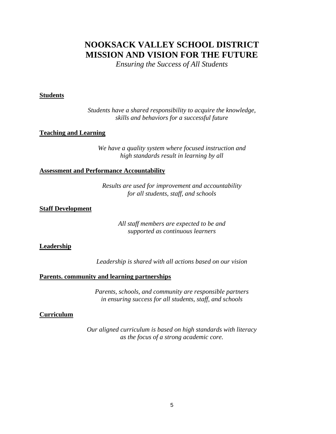### **NOOKSACK VALLEY SCHOOL DISTRICT MISSION AND VISION FOR THE FUTURE**

*Ensuring the Success of All Students*

#### **Students**

*Students have a shared responsibility to acquire the knowledge, skills and behaviors for a successful future*

#### **Teaching and Learning**

*We have a quality system where focused instruction and high standards result in learning by all*

#### **Assessment and Performance Accountability**

*Results are used for improvement and accountability for all students, staff, and schools*

#### **Staff Development**

*All staff members are expected to be and supported as continuous learners*

#### **Leadership**

*Leadership is shared with all actions based on our vision*

#### **Parents. community and learning partnerships**

*Parents, schools, and community are responsible partners in ensuring success for all students, staff, and schools*

#### **Curriculum**

*Our aligned curriculum is based on high standards with literacy as the focus of a strong academic core.*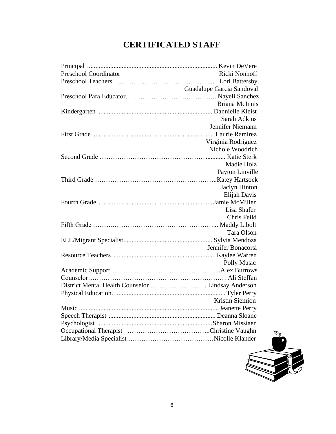# **CERTIFICATED STAFF**

| <b>Preschool Coordinator</b> | Ricki Nonhoff             |
|------------------------------|---------------------------|
|                              |                           |
|                              | Guadalupe Garcia Sandoval |
|                              |                           |
|                              | <b>Briana McInnis</b>     |
|                              |                           |
|                              | <b>Sarah Adkins</b>       |
|                              | Jennifer Niemann          |
|                              |                           |
|                              | Virginia Rodriguez        |
|                              | Nichole Woodrich          |
|                              |                           |
|                              | Madie Holz                |
|                              | Payton Linville           |
|                              |                           |
|                              | Jaclyn Hinton             |
|                              | Elijah Davis              |
|                              |                           |
|                              | Lisa Shafer               |
|                              | Chris Feild               |
|                              |                           |
|                              | Tara Olson                |
|                              |                           |
|                              | Jennifer Bonacorsi        |
|                              |                           |
|                              | Polly Music               |
|                              |                           |
|                              |                           |
|                              |                           |
|                              |                           |
|                              | Kristin Siemion           |
|                              |                           |
|                              |                           |
|                              |                           |
|                              |                           |
|                              |                           |

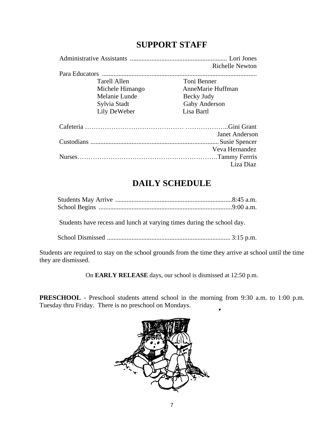| <b>SUPPORT STAFF</b> |  |  |
|----------------------|--|--|
|----------------------|--|--|

|  |                 | <b>Richelle Newton</b> |  |
|--|-----------------|------------------------|--|
|  |                 |                        |  |
|  | Tarell Allen    | Toni Benner            |  |
|  | Michele Himango | AnneMarie Huffman      |  |
|  | Melanie Lunde   | Becky Judy             |  |
|  | Sylvia Stadt    | Gaby Anderson          |  |
|  | Lily DeWeber    | Lisa Bartl             |  |
|  |                 |                        |  |
|  |                 | Janet Anderson         |  |
|  |                 |                        |  |
|  |                 | Veva Hernandez         |  |
|  |                 |                        |  |
|  |                 | Liza Diaz              |  |

### **DAILY SCHEDULE**

Students have recess and lunch at varying times during the school day.

School Dismissed ........................................................................... 3:15 p.m.

Students are required to stay on the school grounds from the time they arrive at school until the time they are dismissed.

On **EARLY RELEASE** days, our school is dismissed at 12:50 p.m.

**PRESCHOOL** - Preschool students attend school in the morning from 9:30 a.m. to 1:00 p.m. Tuesday thru Friday. There is no preschool on Mondays. $\overline{r}$ 

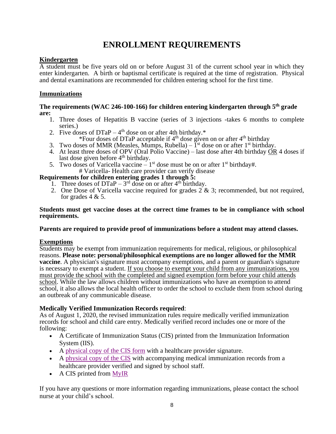# **ENROLLMENT REQUIREMENTS**

### **Kindergarten**

A student must be five years old on or before August 31 of the current school year in which they enter kindergarten. A birth or baptismal certificate is required at the time of registration. Physical and dental examinations are recommended for children entering school for the first time.

### **Immunizations**

#### **The requirements (WAC 246-100-166) for children entering kindergarten through 5th grade are:**

- 1. Three doses of Hepatitis B vaccine (series of 3 injections -takes 6 months to complete series.)
- 2. Five doses of  $DTaP 4<sup>th</sup>$  dose on or after 4th birthday.\*
	- \*Four doses of DTaP acceptable if  $4<sup>th</sup>$  dose given on or after  $4<sup>th</sup>$  birthday
- 3. Two doses of MMR (Measles, Mumps, Rubella)  $\tilde{I}^{st}$  dose on or after 1<sup>st</sup> birthday.
- 4. At least three doses of OPV (Oral Polio Vaccine) last dose after 4th birthday  $\overrightarrow{OR}$  4 doses if last dose given before  $4<sup>th</sup>$  birthday.
- 5. Two doses of Varicella vaccine  $-1$ <sup>st</sup> dose must be on or after 1<sup>st</sup> birthday#. # Varicella- Health care provider can verify disease

### **Requirements for children entering grades 1 through 5:**

- 1. Three doses of  $DTaP 3^{rd}$  dose on or after  $4^{th}$  birthday.
- 2. One Dose of Varicella vaccine required for grades  $2 \& 3$ ; recommended, but not required, for grades 4 & 5.

#### **Students must get vaccine doses at the correct time frames to be in compliance with school requirements.**

### **Parents are required to provide proof of immunizations before a student may attend classes.**

### **Exemptions**

Students may be exempt from immunization requirements for medical, religious, or philosophical reasons. **Please note: personal/philosophical exemptions are no longer allowed for the MMR vaccine**. A physician's signature must accompany exemptions, and a parent or guardian's signature is necessary to exempt a student. If you choose to exempt your child from any immunizations, you must provide the school with the completed and signed exemption form before your child attends school. While the law allows children without immunizations who have an exemption to attend school, it also allows the local health officer to order the school to exclude them from school during an outbreak of any communicable disease.

### **Medically Verified Immunization Records required**:

As of August 1, 2020, the revised immunization rules require medically verified immunization records for school and child care entry. Medically verified record includes one or more of the following:

- A Certificate of Immunization Status (CIS) printed from the Immunization Information System (IIS).
- A [physical](https://www.doh.wa.gov/CommunityandEnvironment/Schools/Immunization#cis) copy of the CIS form with a healthcare provider signature.
- A [physical](https://www.doh.wa.gov/CommunityandEnvironment/Schools/Immunization#cis) copy of the CIS with accompanying medical immunization records from a healthcare provider verified and signed by school staff.
- A CIS printed from [MyIR](https://wa.myir.net/)

If you have any questions or more information regarding immunizations, please contact the school nurse at your child's school.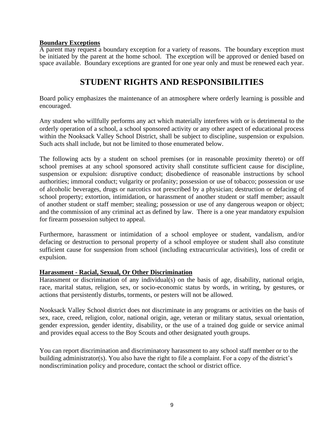#### **Boundary Exceptions**

A parent may request a boundary exception for a variety of reasons. The boundary exception must be initiated by the parent at the home school. The exception will be approved or denied based on space available. Boundary exceptions are granted for one year only and must be renewed each year.

# **STUDENT RIGHTS AND RESPONSIBILITIES**

Board policy emphasizes the maintenance of an atmosphere where orderly learning is possible and encouraged.

Any student who willfully performs any act which materially interferes with or is detrimental to the orderly operation of a school, a school sponsored activity or any other aspect of educational process within the Nooksack Valley School District, shall be subject to discipline, suspension or expulsion. Such acts shall include, but not be limited to those enumerated below.

The following acts by a student on school premises (or in reasonable proximity thereto) or off school premises at any school sponsored activity shall constitute sufficient cause for discipline, suspension or expulsion: disruptive conduct; disobedience of reasonable instructions by school authorities; immoral conduct; vulgarity or profanity; possession or use of tobacco; possession or use of alcoholic beverages, drugs or narcotics not prescribed by a physician; destruction or defacing of school property; extortion, intimidation, or harassment of another student or staff member; assault of another student or staff member; stealing; possession or use of any dangerous weapon or object; and the commission of any criminal act as defined by law. There is a one year mandatory expulsion for firearm possession subject to appeal.

Furthermore, harassment or intimidation of a school employee or student, vandalism, and/or defacing or destruction to personal property of a school employee or student shall also constitute sufficient cause for suspension from school (including extracurricular activities), loss of credit or expulsion.

#### **Harassment - Racial, Sexual, Or Other Discrimination**

Harassment or discrimination of any individual(s) on the basis of age, disability, national origin, race, marital status, religion, sex, or socio-economic status by words, in writing, by gestures, or actions that persistently disturbs, torments, or pesters will not be allowed.

Nooksack Valley School district does not discriminate in any programs or activities on the basis of sex, race, creed, religion, color, national origin, age, veteran or military status, sexual orientation, gender expression, gender identity, disability, or the use of a trained dog guide or service animal and provides equal access to the Boy Scouts and other designated youth groups.

You can report discrimination and discriminatory harassment to any school staff member or to the building administrator(s). You also have the right to file a complaint. For a copy of the district's nondiscrimination policy and procedure, contact the school or district office.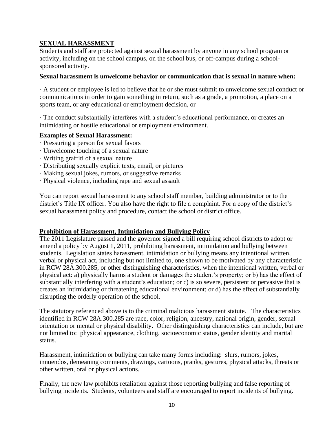### **SEXUAL HARASSMENT**

Students and staff are protected against sexual harassment by anyone in any school program or activity, including on the school campus, on the school bus, or off-campus during a schoolsponsored activity.

#### **Sexual harassment is unwelcome behavior or communication that is sexual in nature when:**

· A student or employee is led to believe that he or she must submit to unwelcome sexual conduct or communications in order to gain something in return, such as a grade, a promotion, a place on a sports team, or any educational or employment decision, or

· The conduct substantially interferes with a student's educational performance, or creates an intimidating or hostile educational or employment environment.

#### **Examples of Sexual Harassment:**

- · Pressuring a person for sexual favors
- · Unwelcome touching of a sexual nature
- · Writing graffiti of a sexual nature
- · Distributing sexually explicit texts, email, or pictures
- · Making sexual jokes, rumors, or suggestive remarks
- · Physical violence, including rape and sexual assault

You can report sexual harassment to any school staff member, building administrator or to the district's Title IX officer. You also have the right to file a complaint. For a copy of the district's sexual harassment policy and procedure, contact the school or district office.

#### **Prohibition of Harassment, Intimidation and Bullying Policy**

The 2011 Legislature passed and the governor signed a bill requiring school districts to adopt or amend a policy by August 1, 2011, prohibiting harassment, intimidation and bullying between students. Legislation states harassment, intimidation or bullying means any intentional written, verbal or physical act, including but not limited to, one shown to be motivated by any characteristic in RCW 28A.300.285, or other distinguishing characteristics, when the intentional written, verbal or physical act: a) physically harms a student or damages the student's property; or b) has the effect of substantially interfering with a student's education; or c) is so severe, persistent or pervasive that is creates an intimidating or threatening educational environment; or d) has the effect of substantially disrupting the orderly operation of the school.

The statutory referenced above is to the criminal malicious harassment statute. The characteristics identified in RCW 28A.300.285 are race, color, religion, ancestry, national origin, gender, sexual orientation or mental or physical disability. Other distinguishing characteristics can include, but are not limited to: physical appearance, clothing, socioeconomic status, gender identity and marital status.

Harassment, intimidation or bullying can take many forms including: slurs, rumors, jokes, innuendos, demeaning comments, drawings, cartoons, pranks, gestures, physical attacks, threats or other written, oral or physical actions.

Finally, the new law prohibits retaliation against those reporting bullying and false reporting of bullying incidents. Students, volunteers and staff are encouraged to report incidents of bullying.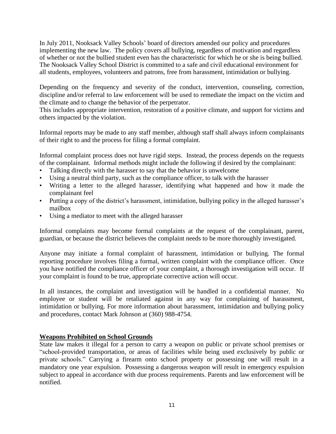In July 2011, Nooksack Valley Schools' board of directors amended our policy and procedures implementing the new law. The policy covers all bullying, regardless of motivation and regardless of whether or not the bullied student even has the characteristic for which he or she is being bullied. The Nooksack Valley School District is committed to a safe and civil educational environment for all students, employees, volunteers and patrons, free from harassment, intimidation or bullying.

Depending on the frequency and severity of the conduct, intervention, counseling, correction, discipline and/or referral to law enforcement will be used to remediate the impact on the victim and the climate and to change the behavior of the perpetrator.

This includes appropriate intervention, restoration of a positive climate, and support for victims and others impacted by the violation.

Informal reports may be made to any staff member, although staff shall always inform complainants of their right to and the process for filing a formal complaint.

Informal complaint process does not have rigid steps. Instead, the process depends on the requests of the complainant. Informal methods might include the following if desired by the complainant:

- Talking directly with the harasser to say that the behavior is unwelcome
- Using a neutral third party, such as the compliance officer, to talk with the harasser
- Writing a letter to the alleged harasser, identifying what happened and how it made the complainant feel
- Putting a copy of the district's harassment, intimidation, bullying policy in the alleged harasser's mailbox
- Using a mediator to meet with the alleged harasser

Informal complaints may become formal complaints at the request of the complainant, parent, guardian, or because the district believes the complaint needs to be more thoroughly investigated.

Anyone may initiate a formal complaint of harassment, intimidation or bullying. The formal reporting procedure involves filing a formal, written complaint with the compliance officer. Once you have notified the compliance officer of your complaint, a thorough investigation will occur. If your complaint is found to be true, appropriate corrective action will occur.

In all instances, the complaint and investigation will be handled in a confidential manner. No employee or student will be retaliated against in any way for complaining of harassment, intimidation or bullying. For more information about harassment, intimidation and bullying policy and procedures, contact Mark Johnson at (360) 988-4754.

#### **Weapons Prohibited on School Grounds**

State law makes it illegal for a person to carry a weapon on public or private school premises or "school-provided transportation, or areas of facilities while being used exclusively by public or private schools." Carrying a firearm onto school property or possessing one will result in a mandatory one year expulsion. Possessing a dangerous weapon will result in emergency expulsion subject to appeal in accordance with due process requirements. Parents and law enforcement will be notified.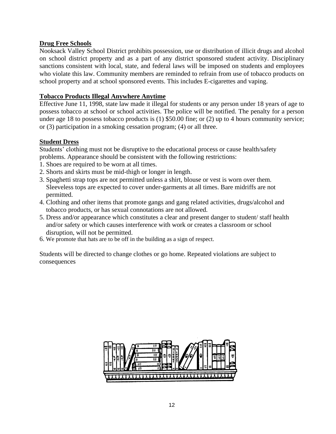### **Drug Free Schools**

Nooksack Valley School District prohibits possession, use or distribution of illicit drugs and alcohol on school district property and as a part of any district sponsored student activity. Disciplinary sanctions consistent with local, state, and federal laws will be imposed on students and employees who violate this law. Community members are reminded to refrain from use of tobacco products on school property and at school sponsored events. This includes E-cigarettes and vaping.

#### **Tobacco Products Illegal Anywhere Anytime**

Effective June 11, 1998, state law made it illegal for students or any person under 18 years of age to possess tobacco at school or school activities. The police will be notified. The penalty for a person under age 18 to possess tobacco products is (1) \$50.00 fine; or (2) up to 4 hours community service; or (3) participation in a smoking cessation program; (4) or all three.

#### **Student Dress**

Students' clothing must not be disruptive to the educational process or cause health/safety problems. Appearance should be consistent with the following restrictions:

- 1. Shoes are required to be worn at all times.
- 2. Shorts and skirts must be mid-thigh or longer in length.
- 3. Spaghetti strap tops are not permitted unless a shirt, blouse or vest is worn over them. Sleeveless tops are expected to cover under-garments at all times. Bare midriffs are not permitted.
- 4. Clothing and other items that promote gangs and gang related activities, drugs/alcohol and tobacco products, or has sexual connotations are not allowed.
- 5. Dress and/or appearance which constitutes a clear and present danger to student/ staff health and/or safety or which causes interference with work or creates a classroom or school disruption, will not be permitted.
- 6. We promote that hats are to be off in the building as a sign of respect.

Students will be directed to change clothes or go home. Repeated violations are subject to consequences

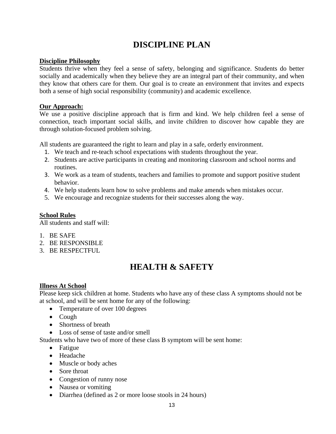# **DISCIPLINE PLAN**

#### **Discipline Philosophy**

Students thrive when they feel a sense of safety, belonging and significance. Students do better socially and academically when they believe they are an integral part of their community, and when they know that others care for them. Our goal is to create an environment that invites and expects both a sense of high social responsibility (community) and academic excellence.

#### **Our Approach:**

We use a positive discipline approach that is firm and kind. We help children feel a sense of connection, teach important social skills, and invite children to discover how capable they are through solution-focused problem solving.

All students are guaranteed the right to learn and play in a safe, orderly environment.

- 1. We teach and re-teach school expectations with students throughout the year.
- 2. Students are active participants in creating and monitoring classroom and school norms and routines.
- 3. We work as a team of students, teachers and families to promote and support positive student behavior.
- 4. We help students learn how to solve problems and make amends when mistakes occur.
- 5. We encourage and recognize students for their successes along the way.

### **School Rules**

All students and staff will:

- 1. BE SAFE
- 2. BE RESPONSIBLE
- 3. BE RESPECTFUL

### **HEALTH & SAFETY**

#### **Illness At School**

Please keep sick children at home. Students who have any of these class A symptoms should not be at school, and will be sent home for any of the following:

- Temperature of over 100 degrees
- Cough
- Shortness of breath
- Loss of sense of taste and/or smell

Students who have two of more of these class B symptom will be sent home:

- Fatigue
- Headache
- Muscle or body aches
- Sore throat
- Congestion of runny nose
- Nausea or vomiting
- Diarrhea (defined as 2 or more loose stools in 24 hours)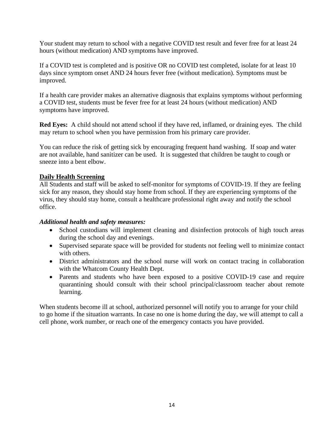Your student may return to school with a negative COVID test result and fever free for at least 24 hours (without medication) AND symptoms have improved.

If a COVID test is completed and is positive OR no COVID test completed, isolate for at least 10 days since symptom onset AND 24 hours fever free (without medication). Symptoms must be improved.

If a health care provider makes an alternative diagnosis that explains symptoms without performing a COVID test, students must be fever free for at least 24 hours (without medication) AND symptoms have improved.

**Red Eyes:** A child should not attend school if they have red, inflamed, or draining eyes. The child may return to school when you have permission from his primary care provider.

You can reduce the risk of getting sick by encouraging frequent hand washing. If soap and water are not available, hand sanitizer can be used. It is suggested that children be taught to cough or sneeze into a bent elbow.

#### **Daily Health Screening**

All Students and staff will be asked to self-monitor for symptoms of COVID-19. If they are feeling sick for any reason, they should stay home from school. If they are experiencing symptoms of the virus, they should stay home, consult a healthcare professional right away and notify the school office.

#### *Additional health and safety measures:*

- School custodians will implement cleaning and disinfection protocols of high touch areas during the school day and evenings.
- Supervised separate space will be provided for students not feeling well to minimize contact with others.
- District administrators and the school nurse will work on contact tracing in collaboration with the Whatcom County Health Dept.
- Parents and students who have been exposed to a positive COVID-19 case and require quarantining should consult with their school principal/classroom teacher about remote learning.

When students become ill at school, authorized personnel will notify you to arrange for your child to go home if the situation warrants. In case no one is home during the day, we will attempt to call a cell phone, work number, or reach one of the emergency contacts you have provided.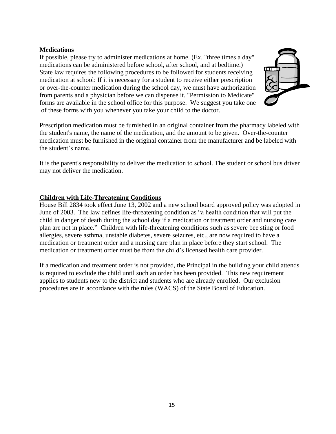### **Medications**

If possible, please try to administer medications at home. (Ex. "three times a day" medications can be administered before school, after school, and at bedtime.) State law requires the following procedures to be followed for students receiving medication at school: If it is necessary for a student to receive either prescription or over-the-counter medication during the school day, we must have authorization from parents and a physician before we can dispense it. "Permission to Medicate" forms are available in the school office for this purpose. We suggest you take one of these forms with you whenever you take your child to the doctor.



Prescription medication must be furnished in an original container from the pharmacy labeled with the student's name, the name of the medication, and the amount to be given. Over-the-counter medication must be furnished in the original container from the manufacturer and be labeled with the student's name.

It is the parent's responsibility to deliver the medication to school. The student or school bus driver may not deliver the medication.

#### **Children with Life-Threatening Conditions**

House Bill 2834 took effect June 13, 2002 and a new school board approved policy was adopted in June of 2003. The law defines life-threatening condition as "a health condition that will put the child in danger of death during the school day if a medication or treatment order and nursing care plan are not in place." Children with life-threatening conditions such as severe bee sting or food allergies, severe asthma, unstable diabetes, severe seizures, etc., are now required to have a medication or treatment order and a nursing care plan in place before they start school. The medication or treatment order must be from the child's licensed health care provider.

If a medication and treatment order is not provided, the Principal in the building your child attends is required to exclude the child until such an order has been provided. This new requirement applies to students new to the district and students who are already enrolled. Our exclusion procedures are in accordance with the rules (WACS) of the State Board of Education.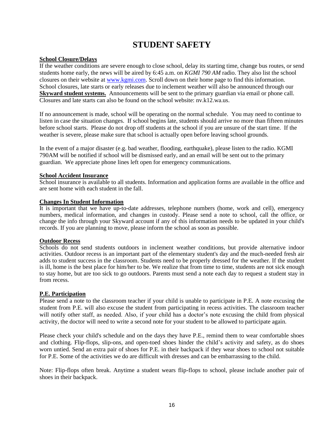### **STUDENT SAFETY**

#### **School Closure/Delays**

If the weather conditions are severe enough to close school, delay its starting time, change bus routes, or send students home early, the news will be aired by 6:45 a.m. on *KGMI 790 AM* radio. They also list the school closures on their website at [www.kgmi.com.](http://www.kgmi.com/) Scroll down on their home page to find this information. School closures, late starts or early releases due to inclement weather will also be announced through our **Skyward student systems.** Announcements will be sent to the primary guardian via email or phone call. Closures and late starts can also be found on the school website: nv.k12.wa.us.

If no announcement is made, school will be operating on the normal schedule. You may need to continue to listen in case the situation changes. If school begins late, students should arrive no more than fifteen minutes before school starts. Please do not drop off students at the school if you are unsure of the start time. If the weather is severe, please make sure that school is actually open before leaving school grounds.

In the event of a major disaster (e.g. bad weather, flooding, earthquake), please listen to the radio. KGMI 790AM will be notified if school will be dismissed early, and an email will be sent out to the primary guardian. We appreciate phone lines left open for emergency communications.

#### **School Accident Insurance**

School insurance is available to all students. Information and application forms are available in the office and are sent home with each student in the fall.

#### **Changes In Student Information**

It is important that we have up-to-date addresses, telephone numbers (home, work and cell), emergency numbers, medical information, and changes in custody. Please send a note to school, call the office, or change the info through your Skyward account if any of this information needs to be updated in your child's records. If you are planning to move, please inform the school as soon as possible.

#### **Outdoor Recess**

Schools do not send students outdoors in inclement weather conditions, but provide alternative indoor activities. Outdoor recess is an important part of the elementary student's day and the much-needed fresh air adds to student success in the classroom. Students need to be properly dressed for the weather. If the student is ill, home is the best place for him/her to be. We realize that from time to time, students are not sick enough to stay home, but are too sick to go outdoors. Parents must send a note each day to request a student stay in from recess.

#### **P.E. Participation**

Please send a note to the classroom teacher if your child is unable to participate in P.E. A note excusing the student from P.E. will also excuse the student from participating in recess activities. The classroom teacher will notify other staff, as needed. Also, if your child has a doctor's note excusing the child from physical activity, the doctor will need to write a second note for your student to be allowed to participate again.

Please check your child's schedule and on the days they have P.E., remind them to wear comfortable shoes and clothing. Flip-flops, slip-ons, and open-toed shoes hinder the child's activity and safety, as do shoes worn untied. Send an extra pair of shoes for P.E. in their backpack if they wear shoes to school not suitable for P.E. Some of the activities we do are difficult with dresses and can be embarrassing to the child.

Note: Flip-flops often break. Anytime a student wears flip-flops to school, please include another pair of shoes in their backpack.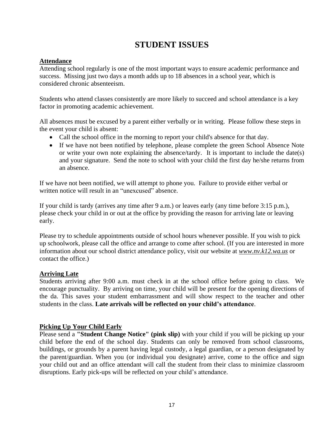# **STUDENT ISSUES**

### **Attendance**

Attending school regularly is one of the most important ways to ensure academic performance and success. Missing just two days a month adds up to 18 absences in a school year, which is considered chronic absenteeism.

Students who attend classes consistently are more likely to succeed and school attendance is a key factor in promoting academic achievement.

All absences must be excused by a parent either verbally or in writing. Please follow these steps in the event your child is absent:

- Call the school office in the morning to report your child's absence for that day.
- If we have not been notified by telephone, please complete the green School Absence Note or write your own note explaining the absence/tardy. It is important to include the date(s) and your signature. Send the note to school with your child the first day he/she returns from an absence.

If we have not been notified, we will attempt to phone you. Failure to provide either verbal or written notice will result in an "unexcused" absence.

If your child is tardy (arrives any time after 9 a.m.) or leaves early (any time before 3:15 p.m.), please check your child in or out at the office by providing the reason for arriving late or leaving early.

Please try to schedule appointments outside of school hours whenever possible. If you wish to pick up schoolwork, please call the office and arrange to come after school. (If you are interested in more information about our school district attendance policy, visit our website at *www.nv.k12.wa.us* or contact the office.)

#### **Arriving Late**

Students arriving after 9:00 a.m. must check in at the school office before going to class. We encourage punctuality. By arriving on time, your child will be present for the opening directions of the da. This saves your student embarrassment and will show respect to the teacher and other students in the class. **Late arrivals will be reflected on your child's attendance**.

### **Picking Up Your Child Early**

Please send a **"Student Change Notice" (pink slip)** with your child if you will be picking up your child before the end of the school day. Students can only be removed from school classrooms, buildings, or grounds by a parent having legal custody, a legal guardian, or a person designated by the parent/guardian. When you (or individual you designate) arrive, come to the office and sign your child out and an office attendant will call the student from their class to minimize classroom disruptions. Early pick-ups will be reflected on your child's attendance.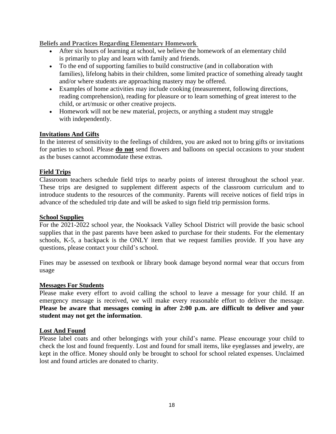#### **Beliefs and Practices Regarding Elementary Homework**

- After six hours of learning at school, we believe the homework of an elementary child is primarily to play and learn with family and friends.
- To the end of supporting families to build constructive (and in collaboration with families), lifelong habits in their children, some limited practice of something already taught and/or where students are approaching mastery may be offered.
- Examples of home activities may include cooking (measurement, following directions, reading comprehension), reading for pleasure or to learn something of great interest to the child, or art/music or other creative projects.
- Homework will not be new material, projects, or anything a student may struggle with independently.

### **Invitations And Gifts**

In the interest of sensitivity to the feelings of children, you are asked not to bring gifts or invitations for parties to school. Please **do not** send flowers and balloons on special occasions to your student as the buses cannot accommodate these extras.

### **Field Trips**

Classroom teachers schedule field trips to nearby points of interest throughout the school year. These trips are designed to supplement different aspects of the classroom curriculum and to introduce students to the resources of the community. Parents will receive notices of field trips in advance of the scheduled trip date and will be asked to sign field trip permission forms.

#### **School Supplies**

For the 2021-2022 school year, the Nooksack Valley School District will provide the basic school supplies that in the past parents have been asked to purchase for their students. For the elementary schools, K-5, a backpack is the ONLY item that we request families provide. If you have any questions, please contact your child's school.

Fines may be assessed on textbook or library book damage beyond normal wear that occurs from usage

#### **Messages For Students**

Please make every effort to avoid calling the school to leave a message for your child. If an emergency message is received, we will make every reasonable effort to deliver the message. **Please be aware that messages coming in after 2:00 p.m. are difficult to deliver and your student may not get the information**.

#### **Lost And Found**

Please label coats and other belongings with your child's name. Please encourage your child to check the lost and found frequently. Lost and found for small items, like eyeglasses and jewelry, are kept in the office. Money should only be brought to school for school related expenses. Unclaimed lost and found articles are donated to charity.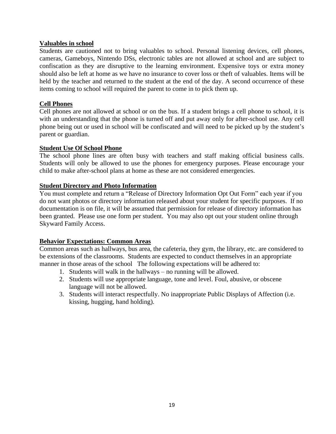#### **Valuables in school**

Students are cautioned not to bring valuables to school. Personal listening devices, cell phones, cameras, Gameboys, Nintendo DSs, electronic tables are not allowed at school and are subject to confiscation as they are disruptive to the learning environment. Expensive toys or extra money should also be left at home as we have no insurance to cover loss or theft of valuables. Items will be held by the teacher and returned to the student at the end of the day. A second occurrence of these items coming to school will required the parent to come in to pick them up.

#### **Cell Phones**

Cell phones are not allowed at school or on the bus. If a student brings a cell phone to school, it is with an understanding that the phone is turned off and put away only for after-school use. Any cell phone being out or used in school will be confiscated and will need to be picked up by the student's parent or guardian.

#### **Student Use Of School Phone**

The school phone lines are often busy with teachers and staff making official business calls. Students will only be allowed to use the phones for emergency purposes. Please encourage your child to make after-school plans at home as these are not considered emergencies.

#### **Student Directory and Photo Information**

You must complete and return a "Release of Directory Information Opt Out Form" each year if you do not want photos or directory information released about your student for specific purposes. If no documentation is on file, it will be assumed that permission for release of directory information has been granted. Please use one form per student. You may also opt out your student online through Skyward Family Access.

#### **Behavior Expectations: Common Areas**

Common areas such as hallways, bus area, the cafeteria, they gym, the library, etc. are considered to be extensions of the classrooms. Students are expected to conduct themselves in an appropriate manner in those areas of the school The following expectations will be adhered to:

- 1. Students will walk in the hallways no running will be allowed.
- 2. Students will use appropriate language, tone and level. Foul, abusive, or obscene language will not be allowed.
- 3. Students will interact respectfully. No inappropriate Public Displays of Affection (i.e. kissing, hugging, hand holding).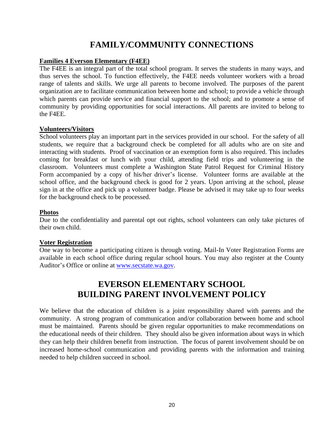# **FAMILY/COMMUNITY CONNECTIONS**

#### **Families 4 Everson Elementary (F4EE)**

The F4EE is an integral part of the total school program. It serves the students in many ways, and thus serves the school. To function effectively, the F4EE needs volunteer workers with a broad range of talents and skills. We urge all parents to become involved. The purposes of the parent organization are to facilitate communication between home and school; to provide a vehicle through which parents can provide service and financial support to the school; and to promote a sense of community by providing opportunities for social interactions. All parents are invited to belong to the F4EE.

#### **Volunteers/Visitors**

School volunteers play an important part in the services provided in our school. For the safety of all students, we require that a background check be completed for all adults who are on site and interacting with students. Proof of vaccination or an exemption form is also required. This includes coming for breakfast or lunch with your child, attending field trips and volunteering in the classroom. Volunteers must complete a Washington State Patrol Request for Criminal History Form accompanied by a copy of his/her driver's license. Volunteer forms are available at the school office, and the background check is good for 2 years. Upon arriving at the school, please sign in at the office and pick up a volunteer badge. Please be advised it may take up to four weeks for the background check to be processed.

#### **Photos**

Due to the confidentiality and parental opt out rights, school volunteers can only take pictures of their own child.

#### **Voter Registration**

One way to become a participating citizen is through voting. Mail-In Voter Registration Forms are available in each school office during regular school hours. You may also register at the County Auditor's Office or online at [www.secstate.wa.gov.](http://www.secstate.wa.gov/)

# **EVERSON ELEMENTARY SCHOOL BUILDING PARENT INVOLVEMENT POLICY**

We believe that the education of children is a joint responsibility shared with parents and the community. A strong program of communication and/or collaboration between home and school must be maintained. Parents should be given regular opportunities to make recommendations on the educational needs of their children. They should also be given information about ways in which they can help their children benefit from instruction. The focus of parent involvement should be on increased home-school communication and providing parents with the information and training needed to help children succeed in school.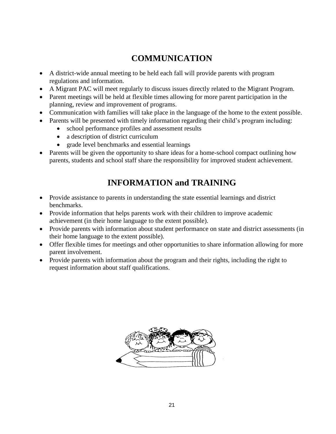# **COMMUNICATION**

- A district-wide annual meeting to be held each fall will provide parents with program regulations and information.
- A Migrant PAC will meet regularly to discuss issues directly related to the Migrant Program.
- Parent meetings will be held at flexible times allowing for more parent participation in the planning, review and improvement of programs.
- Communication with families will take place in the language of the home to the extent possible.
- Parents will be presented with timely information regarding their child's program including:
	- school performance profiles and assessment results
	- a description of district curriculum
	- grade level benchmarks and essential learnings
- Parents will be given the opportunity to share ideas for a home-school compact outlining how parents, students and school staff share the responsibility for improved student achievement.

# **INFORMATION and TRAINING**

- Provide assistance to parents in understanding the state essential learnings and district benchmarks.
- Provide information that helps parents work with their children to improve academic achievement (in their home language to the extent possible).
- Provide parents with information about student performance on state and district assessments (in their home language to the extent possible).
- Offer flexible times for meetings and other opportunities to share information allowing for more parent involvement.
- Provide parents with information about the program and their rights, including the right to request information about staff qualifications.

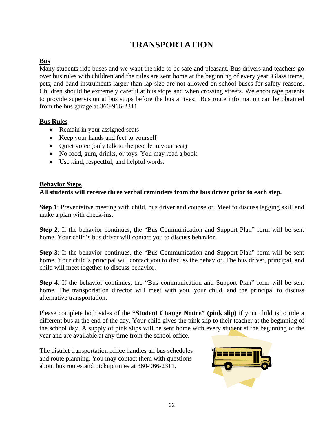# **TRANSPORTATION**

### **Bus**

Many students ride buses and we want the ride to be safe and pleasant. Bus drivers and teachers go over bus rules with children and the rules are sent home at the beginning of every year. Glass items, pets, and band instruments larger than lap size are not allowed on school buses for safety reasons. Children should be extremely careful at bus stops and when crossing streets. We encourage parents to provide supervision at bus stops before the bus arrives. Bus route information can be obtained from the bus garage at 360-966-2311.

### **Bus Rules**

- Remain in your assigned seats
- Keep your hands and feet to yourself
- Quiet voice (only talk to the people in your seat)
- No food, gum, drinks, or toys. You may read a book
- Use kind, respectful, and helpful words.

#### **Behavior Steps All students will receive three verbal reminders from the bus driver prior to each step.**

**Step 1**: Preventative meeting with child, bus driver and counselor. Meet to discuss lagging skill and make a plan with check-ins.

**Step 2**: If the behavior continues, the "Bus Communication and Support Plan" form will be sent home. Your child's bus driver will contact you to discuss behavior.

**Step 3**: If the behavior continues, the "Bus Communication and Support Plan" form will be sent home. Your child's principal will contact you to discuss the behavior. The bus driver, principal, and child will meet together to discuss behavior.

**Step 4**: If the behavior continues, the "Bus communication and Support Plan" form will be sent home. The transportation director will meet with you, your child, and the principal to discuss alternative transportation.

Please complete both sides of the **"Student Change Notice" (pink slip)** if your child is to ride a different bus at the end of the day. Your child gives the pink slip to their teacher at the beginning of the school day. A supply of pink slips will be sent home with every student at the beginning of the year and are available at any time from the school office.

The district transportation office handles all bus schedules and route planning. You may contact them with questions about bus routes and pickup times at 360-966-2311.

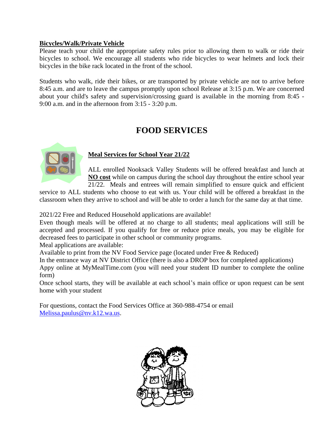### **Bicycles/Walk/Private Vehicle**

Please teach your child the appropriate safety rules prior to allowing them to walk or ride their bicycles to school. We encourage all students who ride bicycles to wear helmets and lock their bicycles in the bike rack located in the front of the school.

Students who walk, ride their bikes, or are transported by private vehicle are not to arrive before 8:45 a.m. and are to leave the campus promptly upon school Release at 3:15 p.m. We are concerned about your child's safety and supervision/crossing guard is available in the morning from 8:45 - 9:00 a.m. and in the afternoon from 3:15 - 3:20 p.m.

# **FOOD SERVICES**



### **Meal Services for School Year 21/22**

ALL enrolled Nooksack Valley Students will be offered breakfast and lunch at **NO cost** while on campus during the school day throughout the entire school year 21/22. Meals and entrees will remain simplified to ensure quick and efficient

service to ALL students who choose to eat with us. Your child will be offered a breakfast in the classroom when they arrive to school and will be able to order a lunch for the same day at that time.

2021/22 Free and Reduced Household applications are available!

Even though meals will be offered at no charge to all students; meal applications will still be accepted and processed. If you qualify for free or reduce price meals, you may be eligible for decreased fees to participate in other school or community programs.

Meal applications are available:

Available to print from the NV Food Service page (located under Free & Reduced)

In the entrance way at NV District Office (there is also a DROP box for completed applications)

Appy online at MyMealTime.com (you will need your student ID number to complete the online form)

Once school starts, they will be available at each school's main office or upon request can be sent home with your student

For questions, contact the Food Services Office at 360-988-4754 or email [Melissa.paulus@nv.k12.wa.us.](mailto:Melissa.paulus@nv.k12.wa.us)